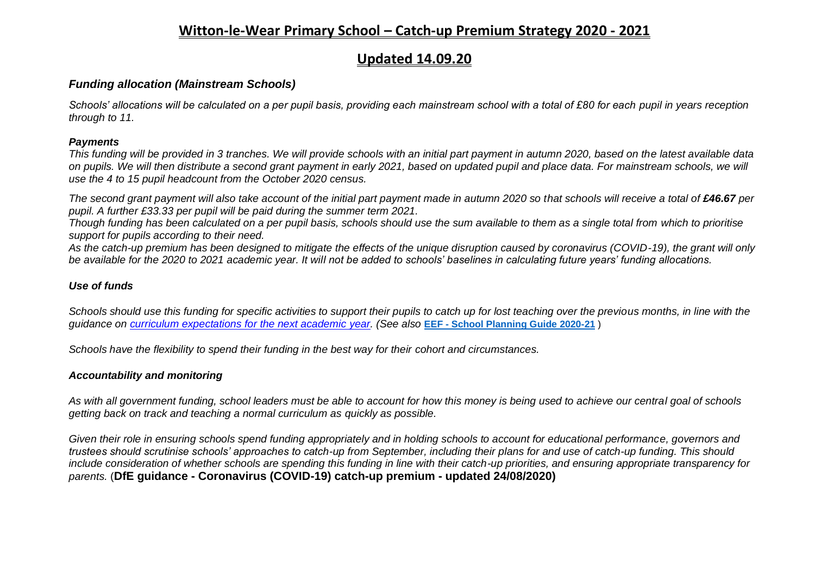### **Witton-le-Wear Primary School – Catch-up Premium Strategy 2020 - 2021**

## **Updated 14.09.20**

#### *Funding allocation (Mainstream Schools)*

*Schools' allocations will be calculated on a per pupil basis, providing each mainstream school with a total of £80 for each pupil in years reception through to 11.*

#### *Payments*

*This funding will be provided in 3 tranches. We will provide schools with an initial part payment in autumn 2020, based on the latest available data on pupils. We will then distribute a second grant payment in early 2021, based on updated pupil and place data. For mainstream schools, we will use the 4 to 15 pupil headcount from the October 2020 census.*

*The second grant payment will also take account of the initial part payment made in autumn 2020 so that schools will receive a total of £46.67 per pupil. A further £33.33 per pupil will be paid during the summer term 2021.*

*Though funding has been calculated on a per pupil basis, schools should use the sum available to them as a single total from which to prioritise support for pupils according to their need.*

*As the catch-up premium has been designed to mitigate the effects of the unique disruption caused by coronavirus (COVID-19), the grant will only be available for the 2020 to 2021 academic year. It will not be added to schools' baselines in calculating future years' funding allocations.*

#### *Use of funds*

*Schools should use this funding for specific activities to support their pupils to catch up for lost teaching over the previous months, in line with the guidance on [curriculum expectations for the next academic](https://www.gov.uk/government/publications/actions-for-schools-during-the-coronavirus-outbreak/guidance-for-full-opening-schools#section-3-curriculum-behaviour-and-pastoral-support) year. (See also* **EEF - [School Planning Guide 2020-21](https://educationendowmentfoundation.org.uk/covid-19-resources/guide-to-supporting-schools-planning/)** )

*Schools have the flexibility to spend their funding in the best way for their cohort and circumstances.*

#### *Accountability and monitoring*

*As with all government funding, school leaders must be able to account for how this money is being used to achieve our central goal of schools getting back on track and teaching a normal curriculum as quickly as possible.*

*Given their role in ensuring schools spend funding appropriately and in holding schools to account for educational performance, governors and trustees should scrutinise schools' approaches to catch-up from September, including their plans for and use of catch-up funding. This should include consideration of whether schools are spending this funding in line with their catch-up priorities, and ensuring appropriate transparency for parents.* (**DfE guidance - Coronavirus (COVID-19) catch-up premium - updated 24/08/2020)**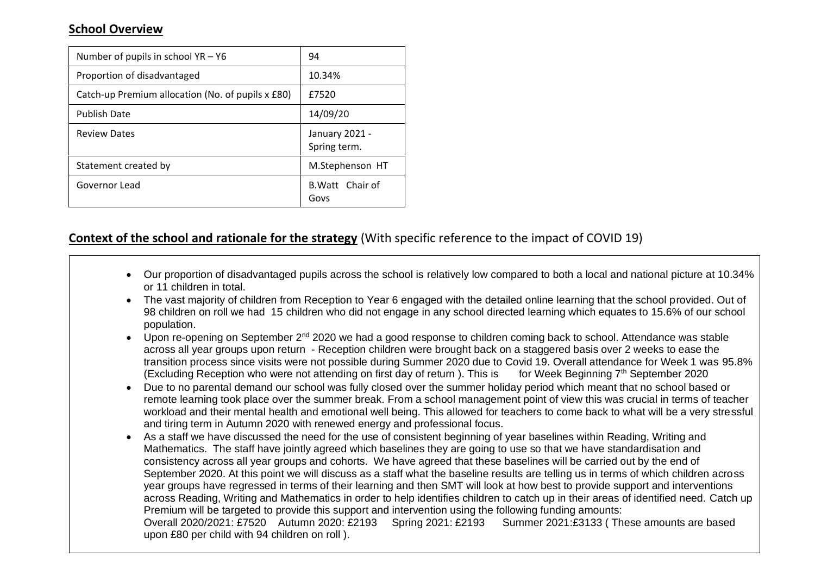### **School Overview**

| Number of pupils in school $YA - Y6$              | 94                             |
|---------------------------------------------------|--------------------------------|
| Proportion of disadvantaged                       | 10.34%                         |
| Catch-up Premium allocation (No. of pupils x £80) | £7520                          |
| <b>Publish Date</b>                               | 14/09/20                       |
| <b>Review Dates</b>                               | January 2021 -<br>Spring term. |
| Statement created by                              | M.Stephenson HT                |
| Governor Lead                                     | B. Watt Chair of<br>Govs       |

### **Context of the school and rationale for the strategy** (With specific reference to the impact of COVID 19)

- Our proportion of disadvantaged pupils across the school is relatively low compared to both a local and national picture at 10.34% or 11 children in total.
- The vast majority of children from Reception to Year 6 engaged with the detailed online learning that the school provided. Out of 98 children on roll we had 15 children who did not engage in any school directed learning which equates to 15.6% of our school population.
- Upon re-opening on September 2<sup>nd</sup> 2020 we had a good response to children coming back to school. Attendance was stable across all year groups upon return - Reception children were brought back on a staggered basis over 2 weeks to ease the transition process since visits were not possible during Summer 2020 due to Covid 19. Overall attendance for Week 1 was 95.8% (Excluding Reception who were not attending on first day of return). This is for Week Beginning  $7<sup>th</sup>$  September 2020
- Due to no parental demand our school was fully closed over the summer holiday period which meant that no school based or remote learning took place over the summer break. From a school management point of view this was crucial in terms of teacher workload and their mental health and emotional well being. This allowed for teachers to come back to what will be a very stressful and tiring term in Autumn 2020 with renewed energy and professional focus.
- As a staff we have discussed the need for the use of consistent beginning of year baselines within Reading, Writing and Mathematics. The staff have jointly agreed which baselines they are going to use so that we have standardisation and consistency across all year groups and cohorts. We have agreed that these baselines will be carried out by the end of September 2020. At this point we will discuss as a staff what the baseline results are telling us in terms of which children across year groups have regressed in terms of their learning and then SMT will look at how best to provide support and interventions across Reading, Writing and Mathematics in order to help identifies children to catch up in their areas of identified need. Catch up Premium will be targeted to provide this support and intervention using the following funding amounts: Overall 2020/2021: £7520 Autumn 2020: £2193 Spring 2021: £2193 Summer 2021:£3133 ( These amounts are based upon £80 per child with 94 children on roll ).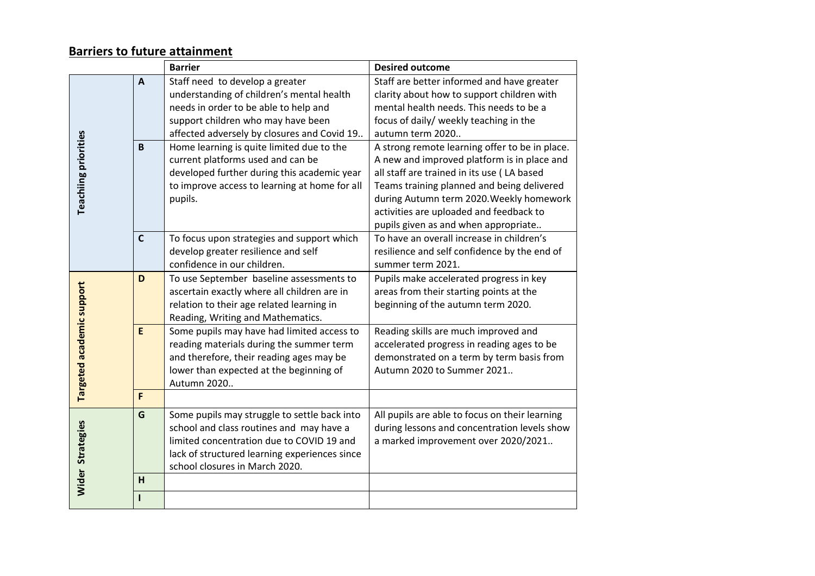# **Barriers to future attainment**

|                             |              | <b>Barrier</b>                                | <b>Desired outcome</b>                         |
|-----------------------------|--------------|-----------------------------------------------|------------------------------------------------|
|                             | $\mathbf{A}$ | Staff need to develop a greater               | Staff are better informed and have greater     |
|                             |              | understanding of children's mental health     | clarity about how to support children with     |
|                             |              | needs in order to be able to help and         | mental health needs. This needs to be a        |
|                             |              | support children who may have been            | focus of daily/ weekly teaching in the         |
|                             |              | affected adversely by closures and Covid 19   | autumn term 2020                               |
| <b>Teachiing priorities</b> | B            | Home learning is quite limited due to the     | A strong remote learning offer to be in place. |
|                             |              | current platforms used and can be             | A new and improved platform is in place and    |
|                             |              | developed further during this academic year   | all staff are trained in its use (LA based     |
|                             |              | to improve access to learning at home for all | Teams training planned and being delivered     |
|                             |              | pupils.                                       | during Autumn term 2020. Weekly homework       |
|                             |              |                                               | activities are uploaded and feedback to        |
|                             |              |                                               | pupils given as and when appropriate           |
|                             | $\mathsf{C}$ | To focus upon strategies and support which    | To have an overall increase in children's      |
|                             |              | develop greater resilience and self           | resilience and self confidence by the end of   |
|                             |              | confidence in our children.                   | summer term 2021.                              |
| Targeted academic support   | D            | To use September baseline assessments to      | Pupils make accelerated progress in key        |
|                             |              | ascertain exactly where all children are in   | areas from their starting points at the        |
|                             |              | relation to their age related learning in     | beginning of the autumn term 2020.             |
|                             |              | Reading, Writing and Mathematics.             |                                                |
|                             | E            | Some pupils may have had limited access to    | Reading skills are much improved and           |
|                             |              | reading materials during the summer term      | accelerated progress in reading ages to be     |
|                             |              | and therefore, their reading ages may be      | demonstrated on a term by term basis from      |
|                             |              | lower than expected at the beginning of       | Autumn 2020 to Summer 2021                     |
|                             |              | Autumn 2020                                   |                                                |
|                             | F            |                                               |                                                |
|                             | G            | Some pupils may struggle to settle back into  | All pupils are able to focus on their learning |
|                             |              | school and class routines and may have a      | during lessons and concentration levels show   |
| <b>Wider Strategies</b>     |              | limited concentration due to COVID 19 and     | a marked improvement over 2020/2021            |
|                             |              | lack of structured learning experiences since |                                                |
|                             |              | school closures in March 2020.                |                                                |
|                             | H            |                                               |                                                |
|                             |              |                                               |                                                |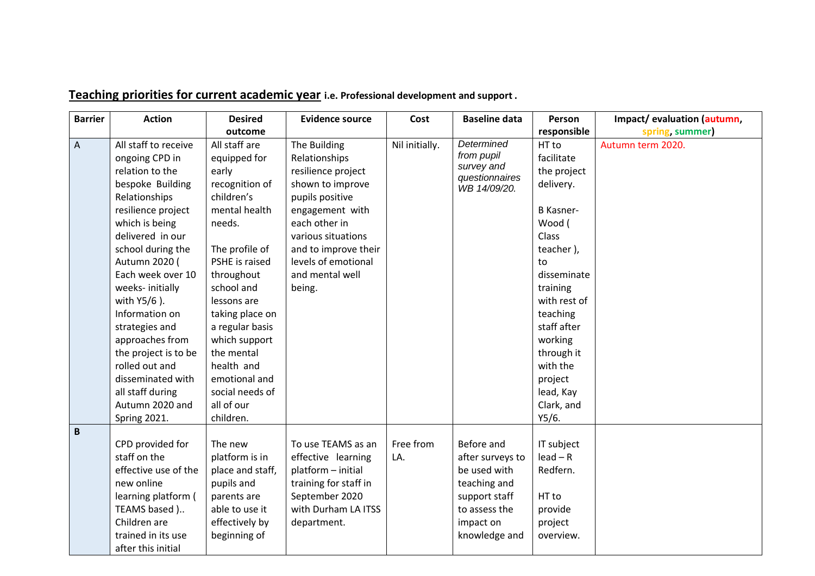| <b>Barrier</b>            | <b>Action</b>                                                                                                                                                                                                                                                                                                                                                                                                         | <b>Desired</b>                                                                                                                                                                                                                                                                                                        | <b>Evidence source</b>                                                                                                                                                                                                           | Cost             | <b>Baseline data</b>                                                                                                           | Person                                                                                                                                                                                                                                                     | Impact/evaluation (autumn, |
|---------------------------|-----------------------------------------------------------------------------------------------------------------------------------------------------------------------------------------------------------------------------------------------------------------------------------------------------------------------------------------------------------------------------------------------------------------------|-----------------------------------------------------------------------------------------------------------------------------------------------------------------------------------------------------------------------------------------------------------------------------------------------------------------------|----------------------------------------------------------------------------------------------------------------------------------------------------------------------------------------------------------------------------------|------------------|--------------------------------------------------------------------------------------------------------------------------------|------------------------------------------------------------------------------------------------------------------------------------------------------------------------------------------------------------------------------------------------------------|----------------------------|
|                           |                                                                                                                                                                                                                                                                                                                                                                                                                       | outcome                                                                                                                                                                                                                                                                                                               |                                                                                                                                                                                                                                  |                  |                                                                                                                                | responsible                                                                                                                                                                                                                                                | spring, summer)            |
| $\boldsymbol{\mathsf{A}}$ | All staff to receive<br>ongoing CPD in<br>relation to the<br>bespoke Building<br>Relationships<br>resilience project<br>which is being<br>delivered in our<br>school during the<br>Autumn 2020 (<br>Each week over 10<br>weeks- initially<br>with Y5/6).<br>Information on<br>strategies and<br>approaches from<br>the project is to be<br>rolled out and<br>disseminated with<br>all staff during<br>Autumn 2020 and | All staff are<br>equipped for<br>early<br>recognition of<br>children's<br>mental health<br>needs.<br>The profile of<br>PSHE is raised<br>throughout<br>school and<br>lessons are<br>taking place on<br>a regular basis<br>which support<br>the mental<br>health and<br>emotional and<br>social needs of<br>all of our | The Building<br>Relationships<br>resilience project<br>shown to improve<br>pupils positive<br>engagement with<br>each other in<br>various situations<br>and to improve their<br>levels of emotional<br>and mental well<br>being. | Nil initially.   | <b>Determined</b><br>from pupil<br>survey and<br>questionnaires<br>WB 14/09/20.                                                | HT to<br>facilitate<br>the project<br>delivery.<br><b>B</b> Kasner-<br>Wood (<br>Class<br>teacher),<br>to<br>disseminate<br>training<br>with rest of<br>teaching<br>staff after<br>working<br>through it<br>with the<br>project<br>lead, Kay<br>Clark, and | Autumn term 2020.          |
|                           | <b>Spring 2021.</b>                                                                                                                                                                                                                                                                                                                                                                                                   | children.                                                                                                                                                                                                                                                                                                             |                                                                                                                                                                                                                                  |                  |                                                                                                                                | Y5/6.                                                                                                                                                                                                                                                      |                            |
| $\, {\bf B}$              | CPD provided for<br>staff on the<br>effective use of the<br>new online<br>learning platform (<br>TEAMS based )<br>Children are<br>trained in its use<br>after this initial                                                                                                                                                                                                                                            | The new<br>platform is in<br>place and staff,<br>pupils and<br>parents are<br>able to use it<br>effectively by<br>beginning of                                                                                                                                                                                        | To use TEAMS as an<br>effective learning<br>platform - initial<br>training for staff in<br>September 2020<br>with Durham LA ITSS<br>department.                                                                                  | Free from<br>LA. | Before and<br>after surveys to<br>be used with<br>teaching and<br>support staff<br>to assess the<br>impact on<br>knowledge and | IT subject<br>$lead - R$<br>Redfern.<br>HT to<br>provide<br>project<br>overview.                                                                                                                                                                           |                            |

# **Teaching priorities for current academic year i.e. Professional development and support .**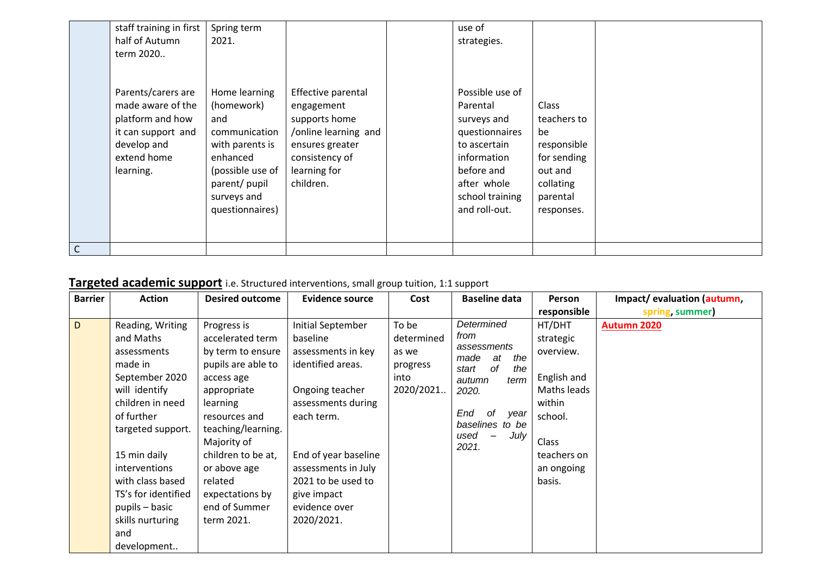|              | staff training in first                                                                                                      | Spring term                                                                                                                                               |                                                                                                                                             | use of                                                                                                                                                       |                                                                                                                   |  |
|--------------|------------------------------------------------------------------------------------------------------------------------------|-----------------------------------------------------------------------------------------------------------------------------------------------------------|---------------------------------------------------------------------------------------------------------------------------------------------|--------------------------------------------------------------------------------------------------------------------------------------------------------------|-------------------------------------------------------------------------------------------------------------------|--|
|              | half of Autumn                                                                                                               | 2021.                                                                                                                                                     |                                                                                                                                             | strategies.                                                                                                                                                  |                                                                                                                   |  |
|              | term 2020                                                                                                                    |                                                                                                                                                           |                                                                                                                                             |                                                                                                                                                              |                                                                                                                   |  |
|              | Parents/carers are<br>made aware of the<br>platform and how<br>it can support and<br>develop and<br>extend home<br>learning. | Home learning<br>(homework)<br>and<br>communication<br>with parents is<br>enhanced<br>(possible use of<br>parent/ pupil<br>surveys and<br>questionnaires) | Effective parental<br>engagement<br>supports home<br>/online learning and<br>ensures greater<br>consistency of<br>learning for<br>children. | Possible use of<br>Parental<br>surveys and<br>questionnaires<br>to ascertain<br>information<br>before and<br>after whole<br>school training<br>and roll-out. | <b>Class</b><br>teachers to<br>be<br>responsible<br>for sending<br>out and<br>collating<br>parental<br>responses. |  |
| $\mathsf{C}$ |                                                                                                                              |                                                                                                                                                           |                                                                                                                                             |                                                                                                                                                              |                                                                                                                   |  |

# **Targeted academic support** i.e. Structured interventions, small group tuition, 1:1 support

| <b>Barrier</b> | <b>Action</b>                                                                                                                                                                                                                                                                             | <b>Desired outcome</b>                                                                                                                                                                                                                                                       | <b>Evidence source</b>                                                                                                                                                                                                                             | Cost                                                          | <b>Baseline data</b>                                                                                                                                                       | <b>Person</b>                                                                                                                       | Impact/evaluation (autumn, |
|----------------|-------------------------------------------------------------------------------------------------------------------------------------------------------------------------------------------------------------------------------------------------------------------------------------------|------------------------------------------------------------------------------------------------------------------------------------------------------------------------------------------------------------------------------------------------------------------------------|----------------------------------------------------------------------------------------------------------------------------------------------------------------------------------------------------------------------------------------------------|---------------------------------------------------------------|----------------------------------------------------------------------------------------------------------------------------------------------------------------------------|-------------------------------------------------------------------------------------------------------------------------------------|----------------------------|
|                |                                                                                                                                                                                                                                                                                           |                                                                                                                                                                                                                                                                              |                                                                                                                                                                                                                                                    |                                                               |                                                                                                                                                                            | responsible                                                                                                                         | spring, summer)            |
| D.             | Reading, Writing<br>and Maths<br>assessments<br>made in<br>September 2020<br>will identify<br>children in need<br>of further<br>targeted support.<br>15 min daily<br>interventions<br>with class based<br>TS's for identified<br>pupils – basic<br>skills nurturing<br>and<br>development | Progress is<br>accelerated term<br>by term to ensure<br>pupils are able to<br>access age<br>appropriate<br>learning<br>resources and<br>teaching/learning.<br>Majority of<br>children to be at,<br>or above age<br>related<br>expectations by<br>end of Summer<br>term 2021. | Initial September<br>baseline<br>assessments in key<br>identified areas.<br>Ongoing teacher<br>assessments during<br>each term.<br>End of year baseline<br>assessments in July<br>2021 to be used to<br>give impact<br>evidence over<br>2020/2021. | To be<br>determined<br>as we<br>progress<br>into<br>2020/2021 | Determined<br>from<br>assessments<br>at<br>the<br>made<br>0f<br>the<br>start<br>autumn<br>term<br>2020.<br>End<br>- of<br>year<br>baselines to be<br>July<br>used<br>2021. | HT/DHT<br>strategic<br>overview.<br>English and<br>Maths leads<br>within<br>school.<br>Class<br>teachers on<br>an ongoing<br>basis. | <b>Autumn 2020</b>         |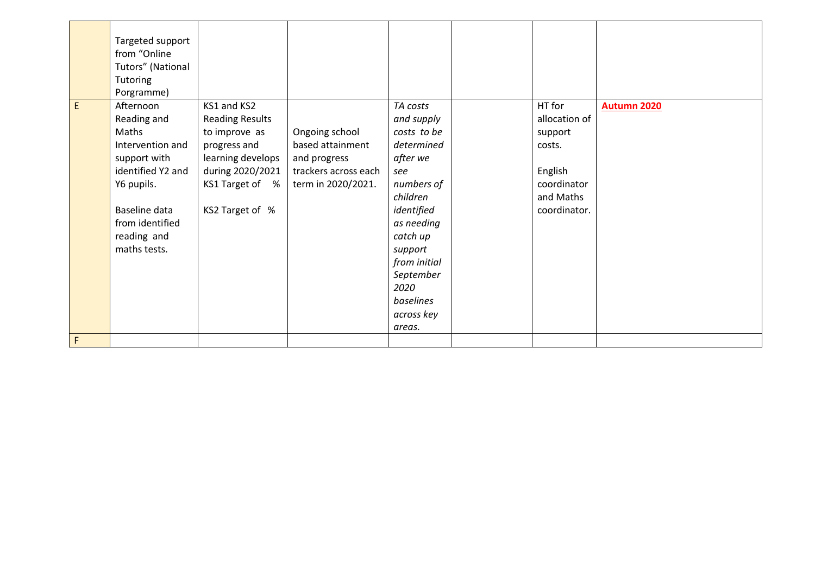|   | Targeted support<br>from "Online<br>Tutors" (National<br><b>Tutoring</b><br>Porgramme)                                                                                      |                                                                                                                                                       |                                                                                                  |                                                                                                                                                                                                                               |                                                                                                     |                    |
|---|-----------------------------------------------------------------------------------------------------------------------------------------------------------------------------|-------------------------------------------------------------------------------------------------------------------------------------------------------|--------------------------------------------------------------------------------------------------|-------------------------------------------------------------------------------------------------------------------------------------------------------------------------------------------------------------------------------|-----------------------------------------------------------------------------------------------------|--------------------|
| E | Afternoon<br>Reading and<br>Maths<br>Intervention and<br>support with<br>identified Y2 and<br>Y6 pupils.<br>Baseline data<br>from identified<br>reading and<br>maths tests. | KS1 and KS2<br><b>Reading Results</b><br>to improve as<br>progress and<br>learning develops<br>during 2020/2021<br>KS1 Target of %<br>KS2 Target of % | Ongoing school<br>based attainment<br>and progress<br>trackers across each<br>term in 2020/2021. | TA costs<br>and supply<br>costs to be<br>determined<br>after we<br>see<br>numbers of<br>children<br>identified<br>as needing<br>catch up<br>support<br>from initial<br>September<br>2020<br>baselines<br>across key<br>areas. | HT for<br>allocation of<br>support<br>costs.<br>English<br>coordinator<br>and Maths<br>coordinator. | <b>Autumn 2020</b> |
| F |                                                                                                                                                                             |                                                                                                                                                       |                                                                                                  |                                                                                                                                                                                                                               |                                                                                                     |                    |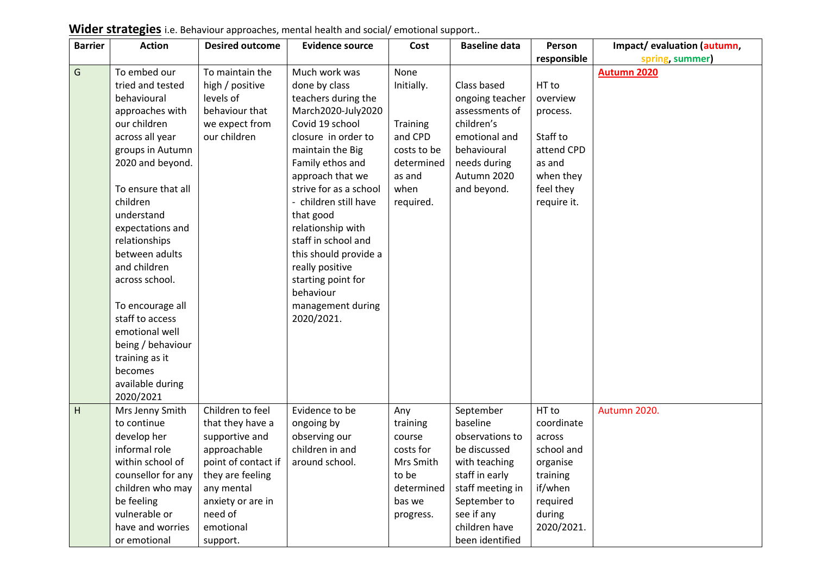| <b>Barrier</b> | <b>Action</b>                     | <b>Desired outcome</b> | <b>Evidence source</b> | Cost        | <b>Baseline data</b>        | Person      | Impact/evaluation (autumn, |
|----------------|-----------------------------------|------------------------|------------------------|-------------|-----------------------------|-------------|----------------------------|
|                |                                   |                        |                        |             |                             | responsible | spring, summer)            |
| G              | To embed our                      | To maintain the        | Much work was          | None        |                             |             | <b>Autumn 2020</b>         |
|                | tried and tested                  | high / positive        | done by class          | Initially.  | Class based                 | HT to       |                            |
|                | behavioural                       | levels of              | teachers during the    |             | ongoing teacher             | overview    |                            |
|                | approaches with                   | behaviour that         | March2020-July2020     |             | assessments of              | process.    |                            |
|                | our children                      | we expect from         | Covid 19 school        | Training    | children's                  |             |                            |
|                | across all year                   | our children           | closure in order to    | and CPD     | emotional and               | Staff to    |                            |
|                | groups in Autumn                  |                        | maintain the Big       | costs to be | behavioural                 | attend CPD  |                            |
|                | 2020 and beyond.                  |                        | Family ethos and       | determined  | needs during                | as and      |                            |
|                |                                   |                        | approach that we       | as and      | Autumn 2020                 | when they   |                            |
|                | To ensure that all                |                        | strive for as a school | when        | and beyond.                 | feel they   |                            |
|                | children                          |                        | - children still have  | required.   |                             | require it. |                            |
|                | understand                        |                        | that good              |             |                             |             |                            |
|                | expectations and                  |                        | relationship with      |             |                             |             |                            |
|                | relationships                     |                        | staff in school and    |             |                             |             |                            |
|                | between adults                    |                        | this should provide a  |             |                             |             |                            |
|                | and children                      |                        | really positive        |             |                             |             |                            |
|                | across school.                    |                        | starting point for     |             |                             |             |                            |
|                |                                   |                        | behaviour              |             |                             |             |                            |
|                | To encourage all                  |                        | management during      |             |                             |             |                            |
|                | staff to access                   |                        | 2020/2021.             |             |                             |             |                            |
|                | emotional well                    |                        |                        |             |                             |             |                            |
|                | being / behaviour                 |                        |                        |             |                             |             |                            |
|                | training as it                    |                        |                        |             |                             |             |                            |
|                | becomes                           |                        |                        |             |                             |             |                            |
|                | available during                  |                        |                        |             |                             |             |                            |
|                | 2020/2021                         |                        |                        |             |                             |             |                            |
| H              | Mrs Jenny Smith                   | Children to feel       | Evidence to be         | Any         | September                   | HT to       | Autumn 2020.               |
|                | to continue                       | that they have a       | ongoing by             | training    | baseline                    | coordinate  |                            |
|                | develop her                       | supportive and         | observing our          | course      | observations to             | across      |                            |
|                | informal role                     | approachable           | children in and        | costs for   | be discussed                | school and  |                            |
|                | within school of                  | point of contact if    | around school.         | Mrs Smith   | with teaching               | organise    |                            |
|                | counsellor for any                | they are feeling       |                        | to be       | staff in early              | training    |                            |
|                | children who may                  | any mental             |                        | determined  | staff meeting in            | if/when     |                            |
|                | be feeling                        | anxiety or are in      |                        | bas we      | September to                | required    |                            |
|                | vulnerable or<br>have and worries | need of                |                        | progress.   | see if any<br>children have | during      |                            |
|                |                                   | emotional              |                        |             |                             | 2020/2021.  |                            |
|                | or emotional                      | support.               |                        |             | been identified             |             |                            |

**Wider strategies** i.e. Behaviour approaches, mental health and social/ emotional support..